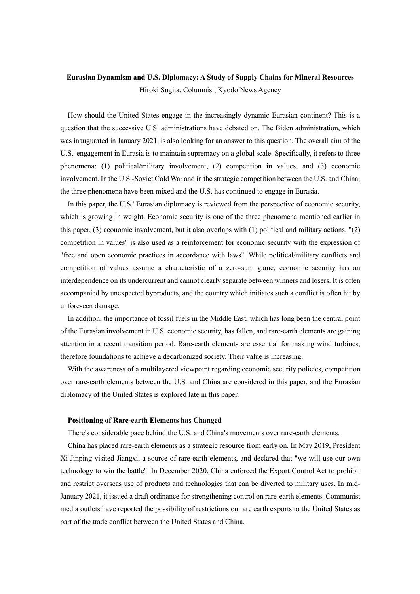## **Eurasian Dynamism and U.S. Diplomacy: A Study of Supply Chains for Mineral Resources** Hiroki Sugita, Columnist, Kyodo News Agency

How should the United States engage in the increasingly dynamic Eurasian continent? This is a question that the successive U.S. administrations have debated on. The Biden administration, which was inaugurated in January 2021, is also looking for an answer to this question. The overall aim of the U.S.' engagement in Eurasia is to maintain supremacy on a global scale. Specifically, it refers to three phenomena: (1) political/military involvement, (2) competition in values, and (3) economic involvement. In the U.S.-Soviet Cold War and in the strategic competition between the U.S. and China, the three phenomena have been mixed and the U.S. has continued to engage in Eurasia.

In this paper, the U.S.' Eurasian diplomacy is reviewed from the perspective of economic security, which is growing in weight. Economic security is one of the three phenomena mentioned earlier in this paper, (3) economic involvement, but it also overlaps with (1) political and military actions. "(2) competition in values" is also used as a reinforcement for economic security with the expression of "free and open economic practices in accordance with laws". While political/military conflicts and competition of values assume a characteristic of a zero-sum game, economic security has an interdependence on its undercurrent and cannot clearly separate between winners and losers. It is often accompanied by unexpected byproducts, and the country which initiates such a conflict is often hit by unforeseen damage.

In addition, the importance of fossil fuels in the Middle East, which has long been the central point of the Eurasian involvement in U.S. economic security, has fallen, and rare-earth elements are gaining attention in a recent transition period. Rare-earth elements are essential for making wind turbines, therefore foundations to achieve a decarbonized society. Their value is increasing.

With the awareness of a multilayered viewpoint regarding economic security policies, competition over rare-earth elements between the U.S. and China are considered in this paper, and the Eurasian diplomacy of the United States is explored late in this paper.

## **Positioning of Rare-earth Elements has Changed**

There's considerable pace behind the U.S. and China's movements over rare-earth elements.

China has placed rare-earth elements as a strategic resource from early on. In May 2019, President Xi Jinping visited Jiangxi, a source of rare-earth elements, and declared that "we will use our own technology to win the battle". In December 2020, China enforced the Export Control Act to prohibit and restrict overseas use of products and technologies that can be diverted to military uses. In mid-January 2021, it issued a draft ordinance for strengthening control on rare-earth elements. Communist media outlets have reported the possibility of restrictions on rare earth exports to the United States as part of the trade conflict between the United States and China.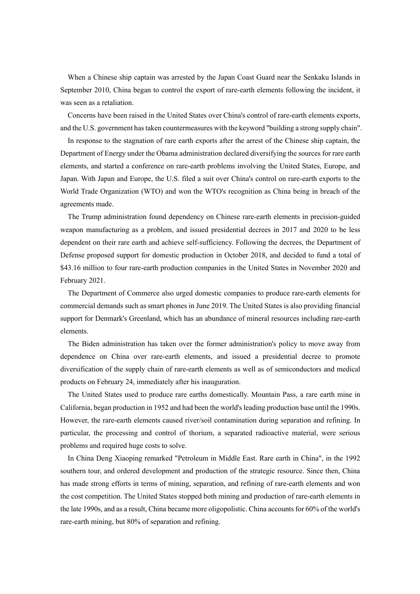When a Chinese ship captain was arrested by the Japan Coast Guard near the Senkaku Islands in September 2010, China began to control the export of rare-earth elements following the incident, it was seen as a retaliation.

Concerns have been raised in the United States over China's control of rare-earth elements exports, and the U.S. government has taken countermeasures with the keyword "building a strong supply chain".

In response to the stagnation of rare earth exports after the arrest of the Chinese ship captain, the Department of Energy under the Obama administration declared diversifying the sources for rare earth elements, and started a conference on rare-earth problems involving the United States, Europe, and Japan. With Japan and Europe, the U.S. filed a suit over China's control on rare-earth exports to the World Trade Organization (WTO) and won the WTO's recognition as China being in breach of the agreements made.

The Trump administration found dependency on Chinese rare-earth elements in precision-guided weapon manufacturing as a problem, and issued presidential decrees in 2017 and 2020 to be less dependent on their rare earth and achieve self-sufficiency. Following the decrees, the Department of Defense proposed support for domestic production in October 2018, and decided to fund a total of \$43.16 million to four rare-earth production companies in the United States in November 2020 and February 2021.

The Department of Commerce also urged domestic companies to produce rare-earth elements for commercial demands such as smart phones in June 2019. The United States is also providing financial support for Denmark's Greenland, which has an abundance of mineral resources including rare-earth elements.

The Biden administration has taken over the former administration's policy to move away from dependence on China over rare-earth elements, and issued a presidential decree to promote diversification of the supply chain of rare-earth elements as well as of semiconductors and medical products on February 24, immediately after his inauguration.

The United States used to produce rare earths domestically. Mountain Pass, a rare earth mine in California, began production in 1952 and had been the world's leading production base until the 1990s. However, the rare-earth elements caused river/soil contamination during separation and refining. In particular, the processing and control of thorium, a separated radioactive material, were serious problems and required huge costs to solve.

In China Deng Xiaoping remarked "Petroleum in Middle East. Rare earth in China", in the 1992 southern tour, and ordered development and production of the strategic resource. Since then, China has made strong efforts in terms of mining, separation, and refining of rare-earth elements and won the cost competition. The United States stopped both mining and production of rare-earth elements in the late 1990s, and as a result, China became more oligopolistic. China accounts for 60% of the world's rare-earth mining, but 80% of separation and refining.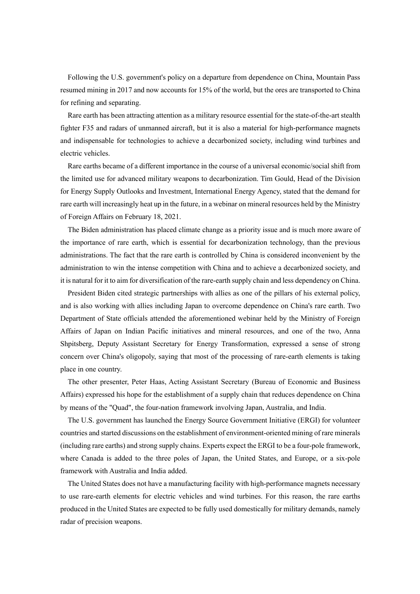Following the U.S. government's policy on a departure from dependence on China, Mountain Pass resumed mining in 2017 and now accounts for 15% of the world, but the ores are transported to China for refining and separating.

Rare earth has been attracting attention as a military resource essential for the state-of-the-art stealth fighter F35 and radars of unmanned aircraft, but it is also a material for high-performance magnets and indispensable for technologies to achieve a decarbonized society, including wind turbines and electric vehicles.

Rare earths became of a different importance in the course of a universal economic/social shift from the limited use for advanced military weapons to decarbonization. Tim Gould, Head of the Division for Energy Supply Outlooks and Investment, International Energy Agency, stated that the demand for rare earth will increasingly heat up in the future, in a webinar on mineral resources held by the Ministry of Foreign Affairs on February 18, 2021.

The Biden administration has placed climate change as a priority issue and is much more aware of the importance of rare earth, which is essential for decarbonization technology, than the previous administrations. The fact that the rare earth is controlled by China is considered inconvenient by the administration to win the intense competition with China and to achieve a decarbonized society, and it is natural for it to aim for diversification of the rare-earth supply chain and less dependency on China.

President Biden cited strategic partnerships with allies as one of the pillars of his external policy, and is also working with allies including Japan to overcome dependence on China's rare earth. Two Department of State officials attended the aforementioned webinar held by the Ministry of Foreign Affairs of Japan on Indian Pacific initiatives and mineral resources, and one of the two, Anna Shpitsberg, Deputy Assistant Secretary for Energy Transformation, expressed a sense of strong concern over China's oligopoly, saying that most of the processing of rare-earth elements is taking place in one country.

The other presenter, Peter Haas, Acting Assistant Secretary (Bureau of Economic and Business Affairs) expressed his hope for the establishment of a supply chain that reduces dependence on China by means of the "Quad", the four-nation framework involving Japan, Australia, and India.

The U.S. government has launched the Energy Source Government Initiative (ERGI) for volunteer countries and started discussions on the establishment of environment-oriented mining of rare minerals (including rare earths) and strong supply chains. Experts expect the ERGI to be a four-pole framework, where Canada is added to the three poles of Japan, the United States, and Europe, or a six-pole framework with Australia and India added.

The United States does not have a manufacturing facility with high-performance magnets necessary to use rare-earth elements for electric vehicles and wind turbines. For this reason, the rare earths produced in the United States are expected to be fully used domestically for military demands, namely radar of precision weapons.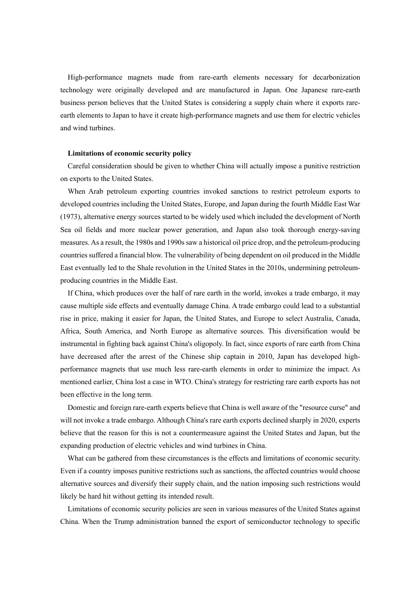High-performance magnets made from rare-earth elements necessary for decarbonization technology were originally developed and are manufactured in Japan. One Japanese rare-earth business person believes that the United States is considering a supply chain where it exports rareearth elements to Japan to have it create high-performance magnets and use them for electric vehicles and wind turbines.

## **Limitations of economic security policy**

Careful consideration should be given to whether China will actually impose a punitive restriction on exports to the United States.

When Arab petroleum exporting countries invoked sanctions to restrict petroleum exports to developed countries including the United States, Europe, and Japan during the fourth Middle East War (1973), alternative energy sources started to be widely used which included the development of North Sea oil fields and more nuclear power generation, and Japan also took thorough energy-saving measures. As a result, the 1980s and 1990s saw a historical oil price drop, and the petroleum-producing countries suffered a financial blow. The vulnerability of being dependent on oil produced in the Middle East eventually led to the Shale revolution in the United States in the 2010s, undermining petroleumproducing countries in the Middle East.

If China, which produces over the half of rare earth in the world, invokes a trade embargo, it may cause multiple side effects and eventually damage China. A trade embargo could lead to a substantial rise in price, making it easier for Japan, the United States, and Europe to select Australia, Canada, Africa, South America, and North Europe as alternative sources. This diversification would be instrumental in fighting back against China's oligopoly. In fact, since exports of rare earth from China have decreased after the arrest of the Chinese ship captain in 2010, Japan has developed highperformance magnets that use much less rare-earth elements in order to minimize the impact. As mentioned earlier, China lost a case in WTO. China's strategy for restricting rare earth exports has not been effective in the long term.

Domestic and foreign rare-earth experts believe that China is well aware of the "resource curse" and will not invoke a trade embargo. Although China's rare earth exports declined sharply in 2020, experts believe that the reason for this is not a countermeasure against the United States and Japan, but the expanding production of electric vehicles and wind turbines in China.

What can be gathered from these circumstances is the effects and limitations of economic security. Even if a country imposes punitive restrictions such as sanctions, the affected countries would choose alternative sources and diversify their supply chain, and the nation imposing such restrictions would likely be hard hit without getting its intended result.

Limitations of economic security policies are seen in various measures of the United States against China. When the Trump administration banned the export of semiconductor technology to specific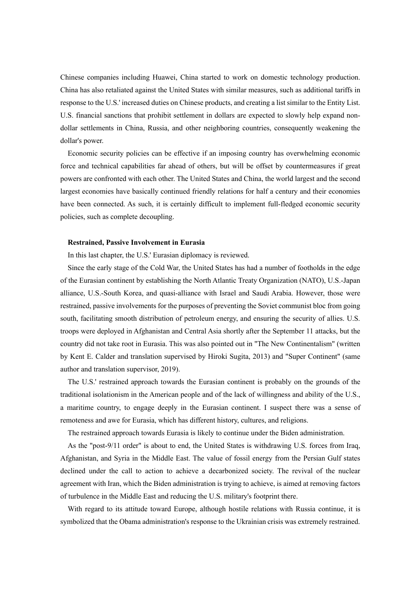Chinese companies including Huawei, China started to work on domestic technology production. China has also retaliated against the United States with similar measures, such as additional tariffs in response to the U.S.' increased duties on Chinese products, and creating a list similar to the Entity List. U.S. financial sanctions that prohibit settlement in dollars are expected to slowly help expand nondollar settlements in China, Russia, and other neighboring countries, consequently weakening the dollar's power.

Economic security policies can be effective if an imposing country has overwhelming economic force and technical capabilities far ahead of others, but will be offset by countermeasures if great powers are confronted with each other. The United States and China, the world largest and the second largest economies have basically continued friendly relations for half a century and their economies have been connected. As such, it is certainly difficult to implement full-fledged economic security policies, such as complete decoupling.

## **Restrained, Passive Involvement in Eurasia**

In this last chapter, the U.S.' Eurasian diplomacy is reviewed.

Since the early stage of the Cold War, the United States has had a number of footholds in the edge of the Eurasian continent by establishing the North Atlantic Treaty Organization (NATO), U.S.-Japan alliance, U.S.-South Korea, and quasi-alliance with Israel and Saudi Arabia. However, those were restrained, passive involvements for the purposes of preventing the Soviet communist bloc from going south, facilitating smooth distribution of petroleum energy, and ensuring the security of allies. U.S. troops were deployed in Afghanistan and Central Asia shortly after the September 11 attacks, but the country did not take root in Eurasia. This was also pointed out in "The New Continentalism" (written by Kent E. Calder and translation supervised by Hiroki Sugita, 2013) and "Super Continent" (same author and translation supervisor, 2019).

The U.S.' restrained approach towards the Eurasian continent is probably on the grounds of the traditional isolationism in the American people and of the lack of willingness and ability of the U.S., a maritime country, to engage deeply in the Eurasian continent. I suspect there was a sense of remoteness and awe for Eurasia, which has different history, cultures, and religions.

The restrained approach towards Eurasia is likely to continue under the Biden administration.

As the "post-9/11 order" is about to end, the United States is withdrawing U.S. forces from Iraq, Afghanistan, and Syria in the Middle East. The value of fossil energy from the Persian Gulf states declined under the call to action to achieve a decarbonized society. The revival of the nuclear agreement with Iran, which the Biden administration is trying to achieve, is aimed at removing factors of turbulence in the Middle East and reducing the U.S. military's footprint there.

With regard to its attitude toward Europe, although hostile relations with Russia continue, it is symbolized that the Obama administration's response to the Ukrainian crisis was extremely restrained.